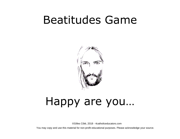## Beatitudes Game



# Happy are you…

©Gilles Côté, 2018 - 4catholiceducators.com

You may copy and use this material for non-profit educational purposes. Please acknowledge your source.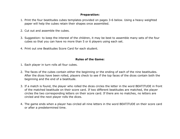#### **Preparation:**

- 1. Print the four beatitudes cubes templates provided on pages 3-6 below. Using a heavy weighted paper will help the cubes retain their shapes once assembled.
- 2. Cut out and assemble the cubes.
- 3. Suggestion: to keep the interest of the children, it may be best to assemble many sets of the four cubes so that you can have no more than 5 or 6 players using each set.
- 4. Print out one Beatitudes Score Card for each student.

#### **Rules of the Game:**

- 1. Each player in turn rolls all four cubes.
- 2. The faces of the cubes contain either the beginning or the ending of each of the nine beatitudes. After the dices have been rolled, players check to see if the top faces of the dices contain both the beginning and the end of a beatitude.
- 3. If a match is found, the player who rolled the dices circles the letter in the word BEATITUDE in front of the matched beatitude on their score card. If two different beatitudes are matched, the player circles the two corresponding letters on their score card. If there are no matches, no letters are circled and the next player rolls the dices.
- 4. The game ends when a player has circled all nine letters in the word BEATITUDE on their score card or after a predetermined time.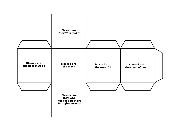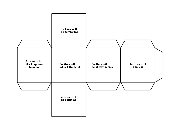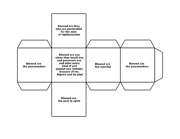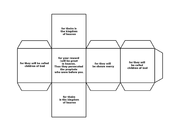